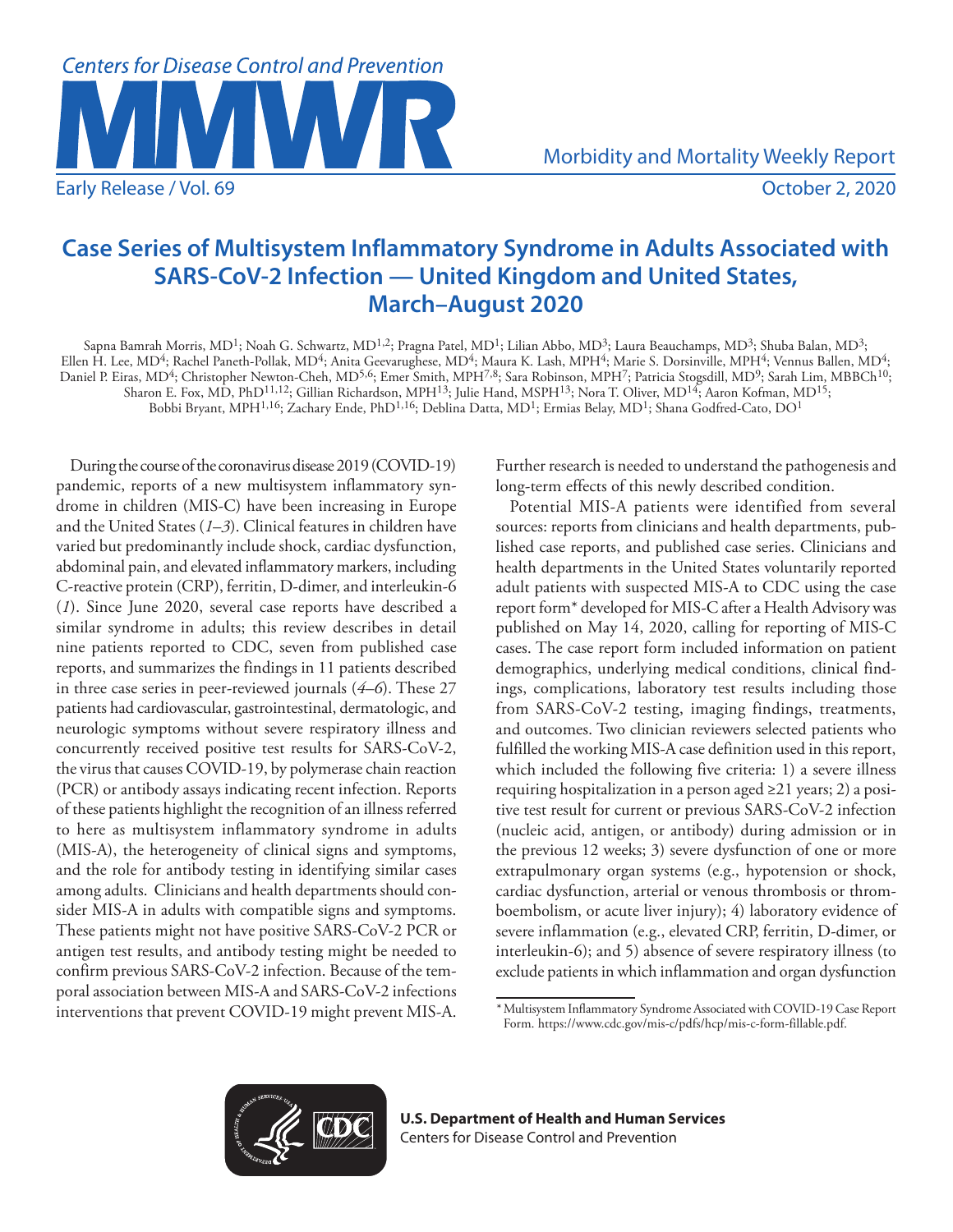

Morbidity and Mortality Weekly Report

# **Case Series of Multisystem Inflammatory Syndrome in Adults Associated with SARS-CoV-2 Infection — United Kingdom and United States, March–August 2020**

Sapna Bamrah Morris, MD<sup>1</sup>; Noah G. Schwartz, MD<sup>1,2</sup>; Pragna Patel, MD<sup>1</sup>; Lilian Abbo, MD<sup>3</sup>; Laura Beauchamps, MD<sup>3</sup>; Shuba Balan, MD<sup>3</sup>; Ellen H. Lee, MD4; Rachel Paneth-Pollak, MD4; Anita Geevarughese, MD4; Maura K. Lash, MPH4; Marie S. Dorsinville, MPH4; Vennus Ballen, MD4; Daniel P. Eiras, MD<sup>4</sup>; Christopher Newton-Cheh, MD<sup>5,6</sup>; Emer Smith, MPH<sup>7,8</sup>; Sara Robinson, MPH<sup>7</sup>; Patricia Stogsdill, MD<sup>9</sup>; Sarah Lim, MBBCh<sup>10</sup>; Sharon E. Fox, MD, PhD<sup>11,12</sup>; Gillian Richardson, MPH<sup>13</sup>; Julie Hand, MSPH<sup>13</sup>; Nora T. Oliver, MD<sup>14</sup>; Aaron Kofman, MD<sup>15</sup>; Bobbi Bryant, MPH<sup>1,16</sup>; Zachary Ende, PhD<sup>1,16</sup>; Deblina Datta, MD<sup>1</sup>; Ermias Belay, MD<sup>1</sup>; Shana Godfred-Cato, DO<sup>1</sup>

During the course of the coronavirus disease 2019 (COVID-19) pandemic, reports of a new multisystem inflammatory syndrome in children (MIS-C) have been increasing in Europe and the United States (*1*–*3*). Clinical features in children have varied but predominantly include shock, cardiac dysfunction, abdominal pain, and elevated inflammatory markers, including C-reactive protein (CRP), ferritin, D-dimer, and interleukin-6 (*1*). Since June 2020, several case reports have described a similar syndrome in adults; this review describes in detail nine patients reported to CDC, seven from published case reports, and summarizes the findings in 11 patients described in three case series in peer-reviewed journals (*4–6*). These 27 patients had cardiovascular, gastrointestinal, dermatologic, and neurologic symptoms without severe respiratory illness and concurrently received positive test results for SARS-CoV-2, the virus that causes COVID-19, by polymerase chain reaction (PCR) or antibody assays indicating recent infection. Reports of these patients highlight the recognition of an illness referred to here as multisystem inflammatory syndrome in adults (MIS-A), the heterogeneity of clinical signs and symptoms, and the role for antibody testing in identifying similar cases among adults. Clinicians and health departments should consider MIS-A in adults with compatible signs and symptoms. These patients might not have positive SARS-CoV-2 PCR or antigen test results, and antibody testing might be needed to confirm previous SARS-CoV-2 infection. Because of the temporal association between MIS-A and SARS-CoV-2 infections interventions that prevent COVID-19 might prevent MIS-A. Further research is needed to understand the pathogenesis and long-term effects of this newly described condition.

Potential MIS-A patients were identified from several sources: reports from clinicians and health departments, published case reports, and published case series. Clinicians and health departments in the United States voluntarily reported adult patients with suspected MIS-A to CDC using the case report form\* developed for MIS-C after a Health Advisory was published on May 14, 2020, calling for reporting of MIS-C cases. The case report form included information on patient demographics, underlying medical conditions, clinical findings, complications, laboratory test results including those from SARS-CoV-2 testing, imaging findings, treatments, and outcomes. Two clinician reviewers selected patients who fulfilled the working MIS-A case definition used in this report, which included the following five criteria: 1) a severe illness requiring hospitalization in a person aged ≥21 years; 2) a positive test result for current or previous SARS-CoV-2 infection (nucleic acid, antigen, or antibody) during admission or in the previous 12 weeks; 3) severe dysfunction of one or more extrapulmonary organ systems (e.g., hypotension or shock, cardiac dysfunction, arterial or venous thrombosis or thromboembolism, or acute liver injury); 4) laboratory evidence of severe inflammation (e.g., elevated CRP, ferritin, D-dimer, or interleukin-6); and 5) absence of severe respiratory illness (to exclude patients in which inflammation and organ dysfunction



<sup>\*</sup>Multisystem Inflammatory Syndrome Associated with COVID-19 Case Report Form. <https://www.cdc.gov/mis-c/pdfs/hcp/mis-c-form-fillable.pdf>.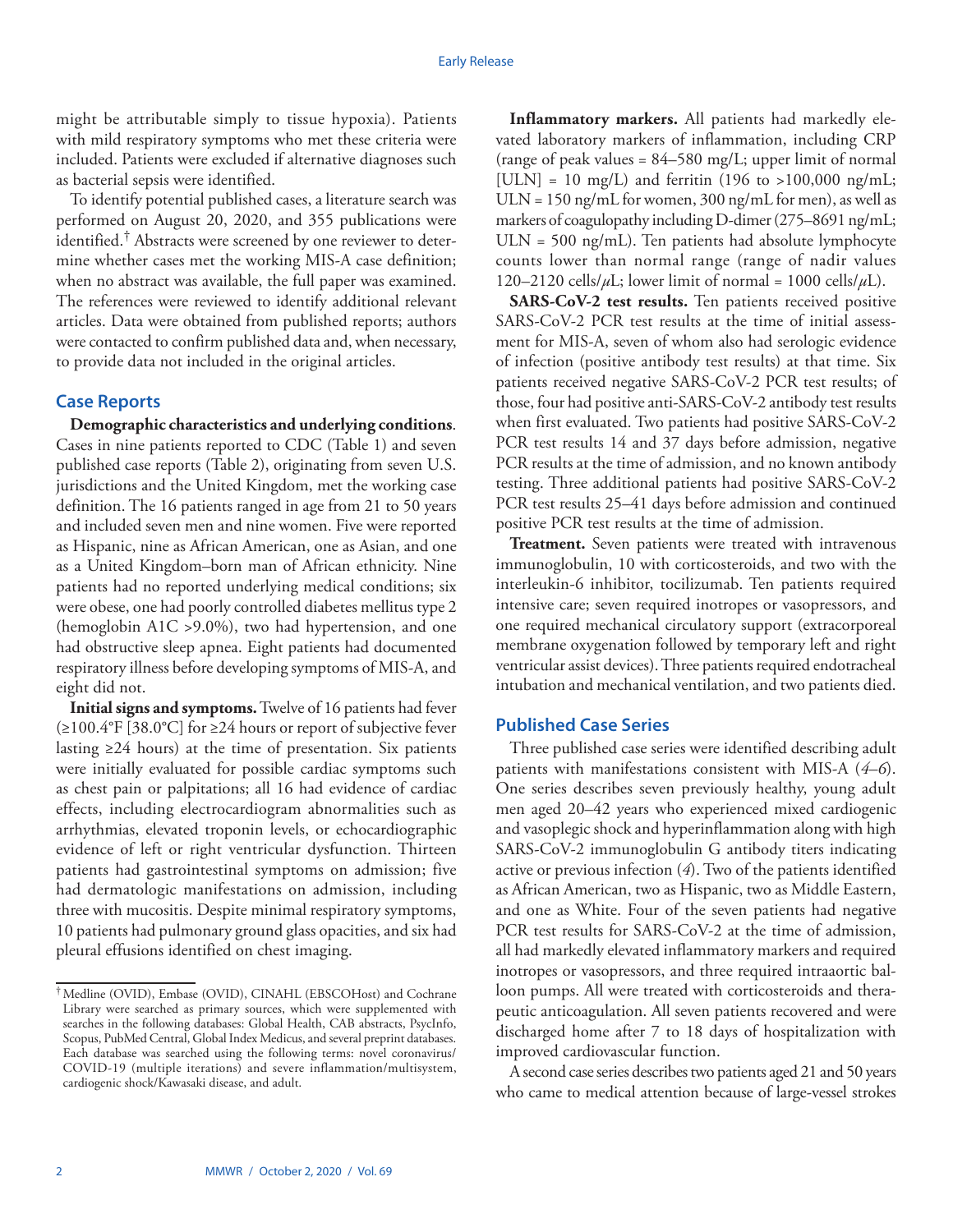might be attributable simply to tissue hypoxia). Patients with mild respiratory symptoms who met these criteria were included. Patients were excluded if alternative diagnoses such as bacterial sepsis were identified.

To identify potential published cases, a literature search was performed on August 20, 2020, and 355 publications were identified.† Abstracts were screened by one reviewer to determine whether cases met the working MIS-A case definition; when no abstract was available, the full paper was examined. The references were reviewed to identify additional relevant articles. Data were obtained from published reports; authors were contacted to confirm published data and, when necessary, to provide data not included in the original articles.

# **Case Reports**

**Demographic characteristics and underlying conditions**. Cases in nine patients reported to CDC (Table 1) and seven published case reports (Table 2), originating from seven U.S. jurisdictions and the United Kingdom, met the working case definition. The 16 patients ranged in age from 21 to 50 years and included seven men and nine women. Five were reported as Hispanic, nine as African American, one as Asian, and one as a United Kingdom–born man of African ethnicity. Nine patients had no reported underlying medical conditions; six were obese, one had poorly controlled diabetes mellitus type 2 (hemoglobin A1C >9.0%), two had hypertension, and one had obstructive sleep apnea. Eight patients had documented respiratory illness before developing symptoms of MIS-A, and eight did not.

**Initial signs and symptoms.** Twelve of 16 patients had fever (≥100.4°F [38.0°C] for ≥24 hours or report of subjective fever lasting ≥24 hours) at the time of presentation. Six patients were initially evaluated for possible cardiac symptoms such as chest pain or palpitations; all 16 had evidence of cardiac effects, including electrocardiogram abnormalities such as arrhythmias, elevated troponin levels, or echocardiographic evidence of left or right ventricular dysfunction. Thirteen patients had gastrointestinal symptoms on admission; five had dermatologic manifestations on admission, including three with mucositis. Despite minimal respiratory symptoms, 10 patients had pulmonary ground glass opacities, and six had pleural effusions identified on chest imaging.

**Inflammatory markers.** All patients had markedly elevated laboratory markers of inflammation, including CRP (range of peak values = 84–580 mg/L; upper limit of normal [ULN] = 10 mg/L) and ferritin (196 to >100,000 ng/mL;  $ULN = 150$  ng/mL for women, 300 ng/mL for men), as well as markers of coagulopathy including D-dimer (275–8691 ng/mL;  $ULN = 500$  ng/mL). Ten patients had absolute lymphocyte counts lower than normal range (range of nadir values 120–2120 cells/ $\mu$ L; lower limit of normal = 1000 cells/ $\mu$ L).

**SARS-CoV-2 test results.** Ten patients received positive SARS-CoV-2 PCR test results at the time of initial assessment for MIS-A, seven of whom also had serologic evidence of infection (positive antibody test results) at that time. Six patients received negative SARS-CoV-2 PCR test results; of those, four had positive anti-SARS-CoV-2 antibody test results when first evaluated. Two patients had positive SARS-CoV-2 PCR test results 14 and 37 days before admission, negative PCR results at the time of admission, and no known antibody testing. Three additional patients had positive SARS-CoV-2 PCR test results 25–41 days before admission and continued positive PCR test results at the time of admission.

**Treatment.** Seven patients were treated with intravenous immunoglobulin, 10 with corticosteroids, and two with the interleukin-6 inhibitor, tocilizumab. Ten patients required intensive care; seven required inotropes or vasopressors, and one required mechanical circulatory support (extracorporeal membrane oxygenation followed by temporary left and right ventricular assist devices). Three patients required endotracheal intubation and mechanical ventilation, and two patients died.

# **Published Case Series**

Three published case series were identified describing adult patients with manifestations consistent with MIS-A (*4*–*6*). One series describes seven previously healthy, young adult men aged 20–42 years who experienced mixed cardiogenic and vasoplegic shock and hyperinflammation along with high SARS-CoV-2 immunoglobulin G antibody titers indicating active or previous infection (*4*). Two of the patients identified as African American, two as Hispanic, two as Middle Eastern, and one as White. Four of the seven patients had negative PCR test results for SARS-CoV-2 at the time of admission, all had markedly elevated inflammatory markers and required inotropes or vasopressors, and three required intraaortic balloon pumps. All were treated with corticosteroids and therapeutic anticoagulation. All seven patients recovered and were discharged home after 7 to 18 days of hospitalization with improved cardiovascular function.

A second case series describes two patients aged 21 and 50 years who came to medical attention because of large-vessel strokes

<sup>†</sup>Medline (OVID), Embase (OVID), CINAHL (EBSCOHost) and Cochrane Library were searched as primary sources, which were supplemented with searches in the following databases: Global Health, CAB abstracts, PsycInfo, Scopus, PubMed Central, Global Index Medicus, and several preprint databases. Each database was searched using the following terms: novel coronavirus/ COVID-19 (multiple iterations) and severe inflammation/multisystem, cardiogenic shock/Kawasaki disease, and adult.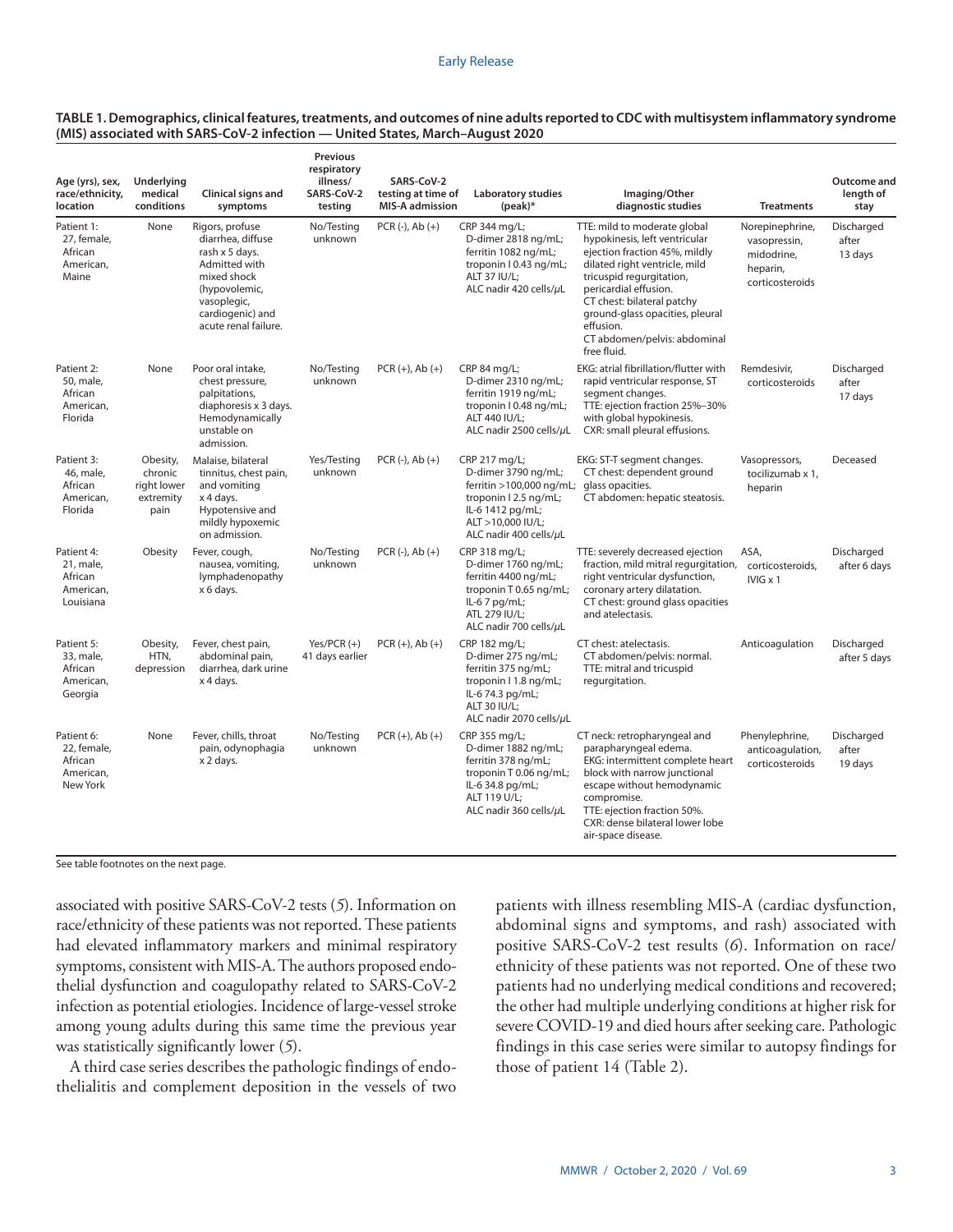| TABLE 1. Demographics, clinical features, treatments, and outcomes of nine adults reported to CDC with multisystem inflammatory syndrome |
|------------------------------------------------------------------------------------------------------------------------------------------|
| (MIS) associated with SARS-CoV-2 infection — United States, March-August 2020                                                            |

| Age (yrs), sex,<br>race/ethnicity,<br>location                | Underlying<br>medical<br>conditions                     | Clinical signs and<br>symptoms                                                                                                                                     | <b>Previous</b><br>respiratory<br>illness/<br>SARS-CoV-2<br>testing | SARS-CoV-2<br>testing at time of<br><b>MIS-A admission</b> | Laboratory studies<br>$(peak)*$                                                                                                                                                 | Imaging/Other<br>diagnostic studies                                                                                                                                                                                                                                                                               | <b>Treatments</b>                                                            | Outcome and<br>length of<br>stay |
|---------------------------------------------------------------|---------------------------------------------------------|--------------------------------------------------------------------------------------------------------------------------------------------------------------------|---------------------------------------------------------------------|------------------------------------------------------------|---------------------------------------------------------------------------------------------------------------------------------------------------------------------------------|-------------------------------------------------------------------------------------------------------------------------------------------------------------------------------------------------------------------------------------------------------------------------------------------------------------------|------------------------------------------------------------------------------|----------------------------------|
| Patient 1:<br>27, female,<br>African<br>American,<br>Maine    | None                                                    | Rigors, profuse<br>diarrhea, diffuse<br>rash x 5 days.<br>Admitted with<br>mixed shock<br>(hypovolemic,<br>vasoplegic,<br>cardiogenic) and<br>acute renal failure. | No/Testing<br>unknown                                               | $PCR (-), Ab (+)$                                          | CRP 344 mg/L;<br>D-dimer 2818 ng/mL;<br>ferritin 1082 ng/mL;<br>troponin I 0.43 ng/mL;<br><b>ALT 37 IU/L:</b><br>ALC nadir 420 cells/ $\mu$ L                                   | TTE: mild to moderate global<br>hypokinesis, left ventricular<br>ejection fraction 45%, mildly<br>dilated right ventricle, mild<br>tricuspid requrgitation,<br>pericardial effusion.<br>CT chest: bilateral patchy<br>ground-glass opacities, pleural<br>effusion.<br>CT abdomen/pelvis: abdominal<br>free fluid. | Norepinephrine,<br>vasopressin,<br>midodrine,<br>heparin,<br>corticosteroids | Discharged<br>after<br>13 days   |
| Patient 2:<br>50, male,<br>African<br>American,<br>Florida    | None                                                    | Poor oral intake,<br>chest pressure,<br>palpitations,<br>diaphoresis x 3 days.<br>Hemodynamically<br>unstable on<br>admission.                                     | No/Testing<br>unknown                                               | $PCR (+), Ab (+)$                                          | CRP 84 mg/L;<br>D-dimer 2310 ng/mL;<br>ferritin 1919 ng/mL;<br>troponin I 0.48 ng/mL;<br>ALT 440 IU/L;<br>ALC nadir 2500 cells/µL                                               | EKG: atrial fibrillation/flutter with<br>rapid ventricular response, ST<br>segment changes.<br>TTE: ejection fraction 25%-30%<br>with global hypokinesis.<br>CXR: small pleural effusions.                                                                                                                        | Remdesivir,<br>corticosteroids                                               | Discharged<br>after<br>17 days   |
| Patient 3:<br>46, male,<br>African<br>American,<br>Florida    | Obesity,<br>chronic<br>right lower<br>extremity<br>pain | Malaise, bilateral<br>tinnitus, chest pain,<br>and vomiting<br>x 4 days.<br>Hypotensive and<br>mildly hypoxemic<br>on admission.                                   | Yes/Testing<br>unknown                                              | $PCR (-), Ab (+)$                                          | CRP 217 mg/L;<br>D-dimer 3790 ng/mL;<br>ferritin $>100,000$ ng/mL; glass opacities.<br>troponin   2.5 ng/mL;<br>IL-6 1412 pg/mL;<br>ALT >10,000 IU/L;<br>ALC nadir 400 cells/uL | EKG: ST-T segment changes.<br>CT chest: dependent ground<br>CT abdomen: hepatic steatosis.                                                                                                                                                                                                                        | Vasopressors,<br>tocilizumab x 1,<br>heparin                                 | Deceased                         |
| Patient 4:<br>21, male,<br>African<br>American,<br>Louisiana  | Obesity                                                 | Fever, cough,<br>nausea, vomiting,<br>lymphadenopathy<br>x 6 days.                                                                                                 | No/Testing<br>unknown                                               | $PCR (-), Ab (+)$                                          | CRP 318 mg/L;<br>D-dimer 1760 ng/mL;<br>ferritin 4400 ng/mL;<br>troponin T 0.65 ng/mL;<br>IL-6 7 pg/mL;<br>ATL 279 IU/L;<br>ALC nadir 700 cells/ $\mu$ L                        | TTE: severely decreased ejection<br>fraction, mild mitral requrgitation,<br>right ventricular dysfunction,<br>coronary artery dilatation.<br>CT chest: ground glass opacities<br>and atelectasis.                                                                                                                 | ASA,<br>corticosteroids,<br>$IVIG \times 1$                                  | Discharged<br>after 6 days       |
| Patient 5:<br>33, male,<br>African<br>American,<br>Georgia    | Obesity,<br>HTN,<br>depression                          | Fever, chest pain,<br>abdominal pain,<br>diarrhea, dark urine<br>x 4 days.                                                                                         | Yes/PCR $(+)$<br>41 days earlier                                    | $PCR (+), Ab (+)$                                          | CRP 182 mg/L;<br>D-dimer 275 ng/mL;<br>ferritin 375 ng/mL;<br>troponin I 1.8 ng/mL;<br>IL-6 74.3 pg/mL;<br>ALT 30 IU/L:<br>ALC nadir 2070 cells/µL                              | CT chest: atelectasis.<br>CT abdomen/pelvis: normal.<br>TTE: mitral and tricuspid<br>regurgitation.                                                                                                                                                                                                               | Anticoagulation                                                              | Discharged<br>after 5 days       |
| Patient 6:<br>22. female.<br>African<br>American,<br>New York | None                                                    | Fever, chills, throat<br>pain, odynophagia<br>x 2 days.                                                                                                            | No/Testing<br>unknown                                               | $PCR (+), Ab (+)$                                          | CRP 355 mg/L;<br>D-dimer 1882 na/mL:<br>ferritin 378 ng/mL;<br>troponin T 0.06 ng/mL;<br>IL-6 34.8 pg/mL;<br>ALT 119 U/L;<br>ALC nadir 360 cells/µL                             | CT neck: retropharyngeal and<br>parapharyngeal edema.<br>EKG: intermittent complete heart<br>block with narrow junctional<br>escape without hemodynamic<br>compromise.<br>TTE: ejection fraction 50%.<br>CXR: dense bilateral lower lobe<br>air-space disease.                                                    | Phenylephrine,<br>anticoagulation,<br>corticosteroids                        | Discharged<br>after<br>19 days   |

See table footnotes on the next page.

associated with positive SARS-CoV-2 tests (*5*). Information on race/ethnicity of these patients was not reported. These patients had elevated inflammatory markers and minimal respiratory symptoms, consistent with MIS-A. The authors proposed endothelial dysfunction and coagulopathy related to SARS-CoV-2 infection as potential etiologies. Incidence of large-vessel stroke among young adults during this same time the previous year was statistically significantly lower (*5*).

A third case series describes the pathologic findings of endothelialitis and complement deposition in the vessels of two patients with illness resembling MIS-A (cardiac dysfunction, abdominal signs and symptoms, and rash) associated with positive SARS-CoV-2 test results (*6*). Information on race/ ethnicity of these patients was not reported. One of these two patients had no underlying medical conditions and recovered; the other had multiple underlying conditions at higher risk for severe COVID-19 and died hours after seeking care. Pathologic findings in this case series were similar to autopsy findings for those of patient 14 (Table 2).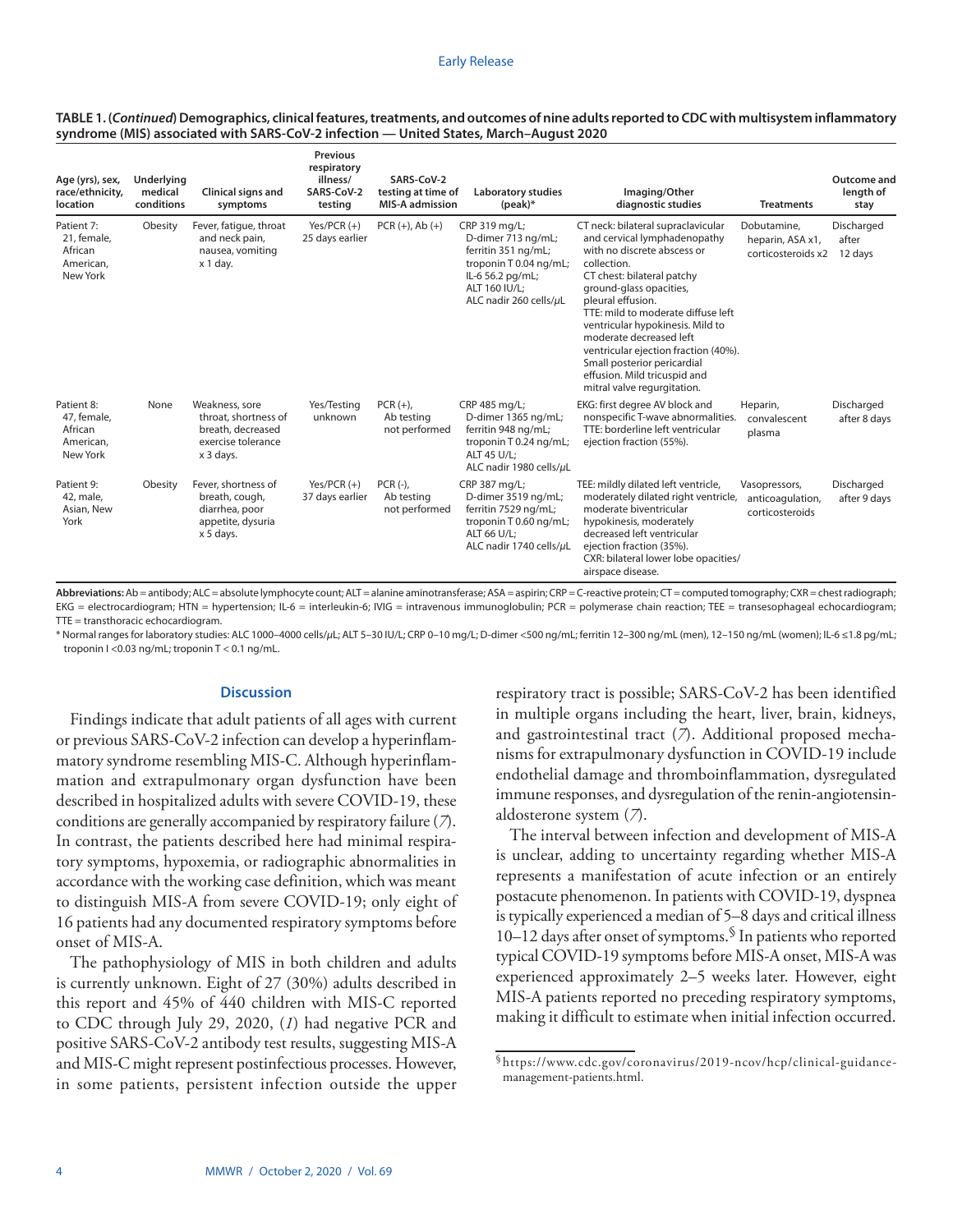| Age (yrs), sex,<br>race/ethnicity,<br><b>location</b>         | Underlying<br>medical<br>conditions | Clinical signs and<br>symptoms                                                                 | <b>Previous</b><br>respiratory<br>illness/<br>SARS-CoV-2<br>testing | SARS-CoV-2<br>testing at time of<br><b>MIS-A admission</b> | Laboratory studies<br>$(peak)*$                                                                                                                     | Imaging/Other<br>diagnostic studies                                                                                                                                                                                                                                                                                                                                                                                                       | <b>Treatments</b>                                     | Outcome and<br>length of<br>stay |
|---------------------------------------------------------------|-------------------------------------|------------------------------------------------------------------------------------------------|---------------------------------------------------------------------|------------------------------------------------------------|-----------------------------------------------------------------------------------------------------------------------------------------------------|-------------------------------------------------------------------------------------------------------------------------------------------------------------------------------------------------------------------------------------------------------------------------------------------------------------------------------------------------------------------------------------------------------------------------------------------|-------------------------------------------------------|----------------------------------|
| Patient 7:<br>21, female,<br>African<br>American,<br>New York | Obesity                             | Fever, fatigue, throat<br>and neck pain,<br>nausea, vomiting<br>x 1 day.                       | Yes/PCR $(+)$<br>25 days earlier                                    | $PCR (+), Ab (+)$                                          | CRP 319 mg/L;<br>D-dimer 713 ng/mL;<br>ferritin 351 ng/mL;<br>troponin T 0.04 ng/mL;<br>IL-6 56.2 pg/mL;<br>ALT 160 IU/L:<br>ALC nadir 260 cells/uL | CT neck: bilateral supraclavicular<br>and cervical lymphadenopathy<br>with no discrete abscess or<br>collection.<br>CT chest: bilateral patchy<br>ground-glass opacities,<br>pleural effusion.<br>TTE: mild to moderate diffuse left<br>ventricular hypokinesis. Mild to<br>moderate decreased left<br>ventricular ejection fraction (40%).<br>Small posterior pericardial<br>effusion. Mild tricuspid and<br>mitral valve regurgitation. | Dobutamine,<br>heparin, ASA x1,<br>corticosteroids x2 | Discharged<br>after<br>12 days   |
| Patient 8:<br>47, female,<br>African<br>American,<br>New York | None                                | Weakness, sore<br>throat, shortness of<br>breath, decreased<br>exercise tolerance<br>x 3 days. | Yes/Testing<br>unknown                                              | $PCR (+)$<br>Ab testing<br>not performed                   | CRP 485 mg/L;<br>D-dimer 1365 ng/mL;<br>ferritin 948 ng/mL;<br>troponin T 0.24 ng/mL;<br>ALT 45 U/L:<br>ALC nadir 1980 cells/µL                     | EKG: first degree AV block and<br>nonspecific T-wave abnormalities.<br>TTE: borderline left ventricular<br>ejection fraction (55%).                                                                                                                                                                                                                                                                                                       | Heparin,<br>convalescent<br>plasma                    | Discharged<br>after 8 days       |
| Patient 9:<br>42, male,<br>Asian, New<br>York                 | Obesity                             | Fever, shortness of<br>breath, cough,<br>diarrhea, poor<br>appetite, dysuria<br>x 5 days.      | $Yes/PCR (+)$<br>37 days earlier                                    | $PCR(-),$<br>Ab testing<br>not performed                   | CRP 387 mg/L;<br>D-dimer 3519 ng/mL;<br>ferritin 7529 ng/mL;<br>troponin T 0.60 ng/mL;<br>ALT 66 U/L:<br>ALC nadir 1740 cells/µL                    | TEE: mildly dilated left ventricle,<br>moderately dilated right ventricle,<br>moderate biventricular<br>hypokinesis, moderately<br>decreased left ventricular<br>ejection fraction (35%).<br>CXR: bilateral lower lobe opacities/<br>airspace disease.                                                                                                                                                                                    | Vasopressors,<br>anticoagulation,<br>corticosteroids  | Discharged<br>after 9 days       |

#### **TABLE 1. (***Continued***) Demographics, clinical features, treatments, and outcomes of nine adults reported to CDC with multisystem inflammatory syndrome (MIS) associated with SARS-CoV-2 infection — United States, March–August 2020**

**Abbreviations:** Ab = antibody; ALC = absolute lymphocyte count; ALT = alanine aminotransferase; ASA = aspirin; CRP = C-reactive protein; CT = computed tomography; CXR = chest radiograph; EKG = electrocardiogram; HTN = hypertension; IL-6 = interleukin-6; IVIG = intravenous immunoglobulin; PCR = polymerase chain reaction; TEE = transesophageal echocardiogram; TTE = transthoracic echocardiogram.

\* Normal ranges for laboratory studies: ALC 1000–4000 cells/*µ*L; ALT 5–30 IU/L; CRP 0–10 mg/L; D-dimer <500 ng/mL; ferritin 12–300 ng/mL (men), 12–150 ng/mL (women); IL-6 ≤1.8 pg/mL; troponin I <0.03 ng/mL; troponin T < 0.1 ng/mL.

#### **Discussion**

Findings indicate that adult patients of all ages with current or previous SARS-CoV-2 infection can develop a hyperinflammatory syndrome resembling MIS-C. Although hyperinflammation and extrapulmonary organ dysfunction have been described in hospitalized adults with severe COVID-19, these conditions are generally accompanied by respiratory failure (*7*). In contrast, the patients described here had minimal respiratory symptoms, hypoxemia, or radiographic abnormalities in accordance with the working case definition, which was meant to distinguish MIS-A from severe COVID-19; only eight of 16 patients had any documented respiratory symptoms before onset of MIS-A.

The pathophysiology of MIS in both children and adults is currently unknown. Eight of 27 (30%) adults described in this report and 45% of 440 children with MIS-C reported to CDC through July 29, 2020, (*1*) had negative PCR and positive SARS-CoV-2 antibody test results, suggesting MIS-A and MIS-C might represent postinfectious processes. However, in some patients, persistent infection outside the upper respiratory tract is possible; SARS-CoV-2 has been identified in multiple organs including the heart, liver, brain, kidneys, and gastrointestinal tract (*7*). Additional proposed mechanisms for extrapulmonary dysfunction in COVID-19 include endothelial damage and thromboinflammation, dysregulated immune responses, and dysregulation of the renin-angiotensinaldosterone system (*7*).

The interval between infection and development of MIS-A is unclear, adding to uncertainty regarding whether MIS-A represents a manifestation of acute infection or an entirely postacute phenomenon. In patients with COVID-19, dyspnea is typically experienced a median of 5–8 days and critical illness 10–12 days after onset of symptoms.§ In patients who reported typical COVID-19 symptoms before MIS-A onset, MIS-A was experienced approximately 2–5 weeks later. However, eight MIS-A patients reported no preceding respiratory symptoms, making it difficult to estimate when initial infection occurred.

<sup>§</sup>[https://www.cdc.gov/coronavirus/2019-ncov/hcp/clinical-guidance](https://www.cdc.gov/coronavirus/2019-ncov/hcp/clinical-guidance-management-patients.html)[management-patients.html.](https://www.cdc.gov/coronavirus/2019-ncov/hcp/clinical-guidance-management-patients.html)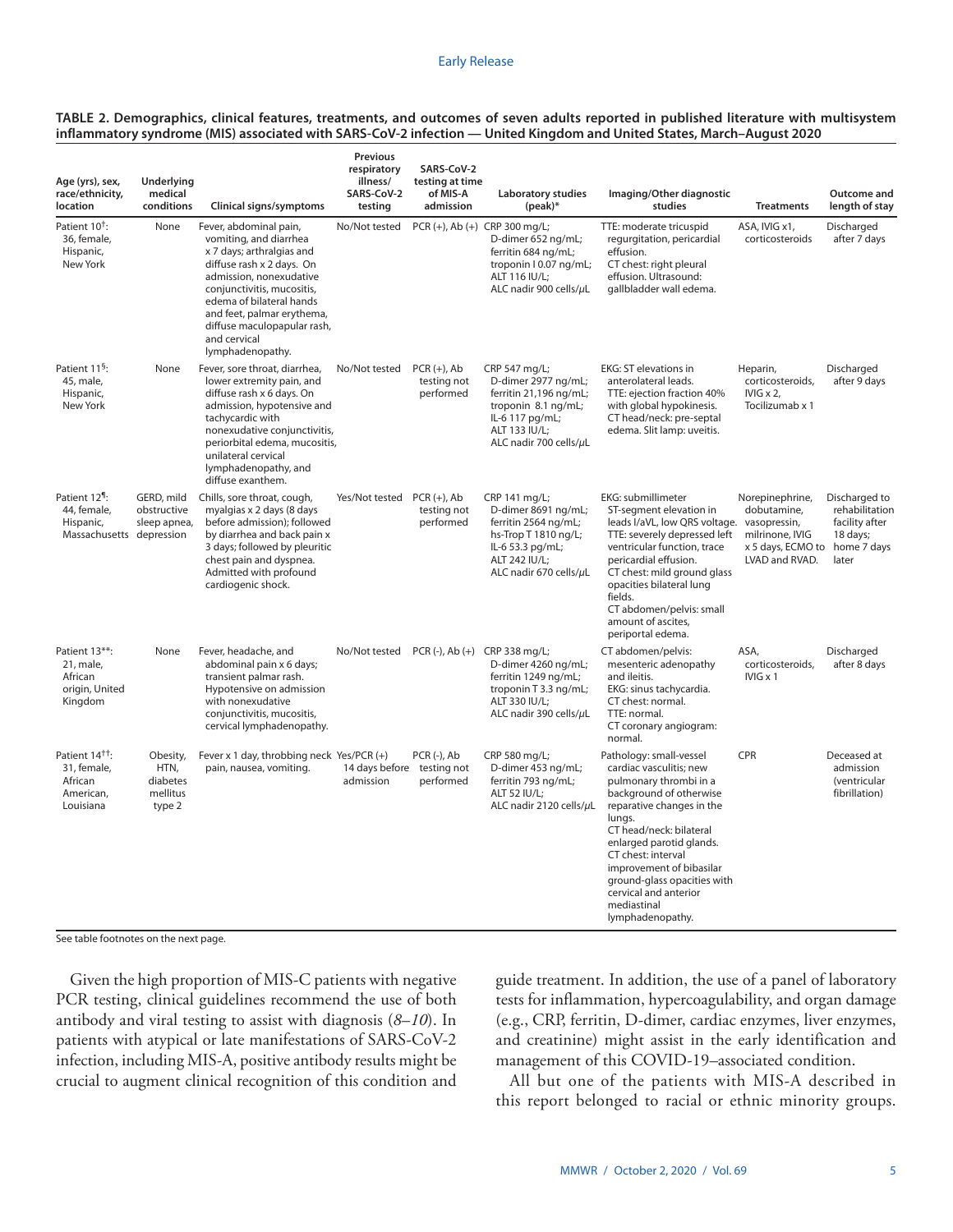| TABLE 2. Demographics, clinical features, treatments, and outcomes of seven adults reported in published literature with multisystem |  |
|--------------------------------------------------------------------------------------------------------------------------------------|--|
| inflammatory syndrome (MIS) associated with SARS-CoV-2 infection — United Kingdom and United States, March-August 2020               |  |

| Age (yrs), sex,<br>race/ethnicity,<br>location                                    | Underlying<br>medical<br>conditions                | Clinical signs/symptoms                                                                                                                                                                                                                                                                          | Previous<br>respiratory<br>illness/<br>SARS-CoV-2<br>testing | SARS-CoV-2<br>testing at time<br>of MIS-A<br>admission | Laboratory studies<br>$(peak)*$                                                                                                                     | Imaging/Other diagnostic<br>studies                                                                                                                                                                                                                                                                                                                | <b>Treatments</b>                                                                                    | Outcome and<br>length of stay                                          |
|-----------------------------------------------------------------------------------|----------------------------------------------------|--------------------------------------------------------------------------------------------------------------------------------------------------------------------------------------------------------------------------------------------------------------------------------------------------|--------------------------------------------------------------|--------------------------------------------------------|-----------------------------------------------------------------------------------------------------------------------------------------------------|----------------------------------------------------------------------------------------------------------------------------------------------------------------------------------------------------------------------------------------------------------------------------------------------------------------------------------------------------|------------------------------------------------------------------------------------------------------|------------------------------------------------------------------------|
| Patient 10 <sup>+</sup> :<br>36, female,<br>Hispanic,<br>New York                 | None                                               | Fever, abdominal pain,<br>vomiting, and diarrhea<br>x 7 days; arthralgias and<br>diffuse rash x 2 days. On<br>admission, nonexudative<br>conjunctivitis, mucositis,<br>edema of bilateral hands<br>and feet, palmar erythema,<br>diffuse maculopapular rash,<br>and cervical<br>lymphadenopathy. | No/Not tested                                                | PCR (+), Ab (+) CRP 300 mg/L;                          | D-dimer 652 ng/mL;<br>ferritin 684 ng/mL;<br>troponin I 0.07 ng/mL;<br>ALT 116 IU/L:<br>ALC nadir 900 cells/µL                                      | TTE: moderate tricuspid<br>requrgitation, pericardial<br>effusion.<br>CT chest: right pleural<br>effusion. Ultrasound:<br>gallbladder wall edema.                                                                                                                                                                                                  | ASA, IVIG x1,<br>corticosteroids                                                                     | Discharged<br>after 7 days                                             |
| Patient 11 <sup>§</sup> :<br>45, male,<br>Hispanic,<br>New York                   | None                                               | Fever, sore throat, diarrhea,<br>lower extremity pain, and<br>diffuse rash x 6 days. On<br>admission, hypotensive and<br>tachycardic with<br>nonexudative conjunctivitis,<br>periorbital edema, mucositis,<br>unilateral cervical<br>lymphadenopathy, and<br>diffuse exanthem.                   | No/Not tested                                                | $PCR (+)$ , Ab<br>testing not<br>performed             | CRP 547 mg/L;<br>D-dimer 2977 ng/mL;<br>ferritin 21,196 ng/mL;<br>troponin 8.1 ng/mL;<br>IL-6 117 pg/mL;<br>ALT 133 IU/L;<br>ALC nadir 700 cells/µL | EKG: ST elevations in<br>anterolateral leads.<br>TTE: ejection fraction 40%<br>with global hypokinesis.<br>CT head/neck: pre-septal<br>edema. Slit lamp: uveitis.                                                                                                                                                                                  | Heparin,<br>corticosteroids,<br>IVIG $\times$ 2,<br>Tocilizumab x 1                                  | Discharged<br>after 9 days                                             |
| Patient 12 <sup>1</sup> :<br>44, female,<br>Hispanic,<br>Massachusetts depression | GERD, mild<br>obstructive<br>sleep apnea,          | Chills, sore throat, cough,<br>myalgias x 2 days (8 days<br>before admission); followed<br>by diarrhea and back pain x<br>3 days; followed by pleuritic<br>chest pain and dyspnea.<br>Admitted with profound<br>cardiogenic shock.                                                               | Yes/Not tested PCR (+), Ab                                   | testing not<br>performed                               | CRP 141 mg/L;<br>D-dimer 8691 ng/mL;<br>ferritin 2564 ng/mL;<br>hs-Trop T 1810 ng/L;<br>IL-6 53.3 pg/mL;<br>ALT 242 IU/L;<br>ALC nadir 670 cells/µL | EKG: submillimeter<br>ST-segment elevation in<br>leads I/aVL, low QRS voltage. vasopressin,<br>TTE: severely depressed left<br>ventricular function, trace<br>pericardial effusion.<br>CT chest: mild ground glass<br>opacities bilateral lung<br>fields.<br>CT abdomen/pelvis: small<br>amount of ascites,<br>periportal edema.                   | Norepinephrine,<br>dobutamine,<br>milrinone, IVIG<br>x 5 days, ECMO to home 7 days<br>LVAD and RVAD. | Discharged to<br>rehabilitation<br>facility after<br>18 days;<br>later |
| Patient 13**:<br>21, male,<br>African<br>origin, United<br>Kingdom                | None                                               | Fever, headache, and<br>abdominal pain x 6 days;<br>transient palmar rash.<br>Hypotensive on admission<br>with nonexudative<br>conjunctivitis, mucositis,<br>cervical lymphadenopathy.                                                                                                           | No/Not tested PCR (-), Ab (+) CRP 338 mg/L;                  |                                                        | D-dimer 4260 ng/mL;<br>ferritin 1249 ng/mL;<br>troponin T 3.3 ng/mL;<br>ALT 330 IU/L;<br>ALC nadir 390 cells/µL                                     | CT abdomen/pelvis:<br>mesenteric adenopathy<br>and ileitis.<br>EKG: sinus tachycardia.<br>CT chest: normal.<br>TTE: normal.<br>CT coronary angiogram:<br>normal.                                                                                                                                                                                   | ASA,<br>corticosteroids.<br>$IVIG \times 1$                                                          | Discharged<br>after 8 days                                             |
| Patient 14 <sup>tt</sup> :<br>31, female,<br>African<br>American,<br>Louisiana    | Obesity,<br>HTN,<br>diabetes<br>mellitus<br>type 2 | Fever x 1 day, throbbing neck Yes/PCR (+)<br>pain, nausea, vomiting.                                                                                                                                                                                                                             | 14 days before<br>admission                                  | PCR (-), Ab<br>testing not<br>performed                | CRP 580 mg/L;<br>D-dimer 453 ng/mL;<br>ferritin 793 ng/mL;<br>ALT 52 IU/L;<br>ALC nadir 2120 cells/µL                                               | Pathology: small-vessel<br>cardiac vasculitis; new<br>pulmonary thrombi in a<br>background of otherwise<br>reparative changes in the<br>lungs.<br>CT head/neck: bilateral<br>enlarged parotid glands.<br>CT chest: interval<br>improvement of bibasilar<br>ground-glass opacities with<br>cervical and anterior<br>mediastinal<br>lymphadenopathy. | CPR                                                                                                  | Deceased at<br>admission<br>(ventricular<br>fibrillation)              |

See table footnotes on the next page.

Given the high proportion of MIS-C patients with negative PCR testing, clinical guidelines recommend the use of both antibody and viral testing to assist with diagnosis (*8*–*10*). In patients with atypical or late manifestations of SARS-CoV-2 infection, including MIS-A, positive antibody results might be crucial to augment clinical recognition of this condition and guide treatment. In addition, the use of a panel of laboratory tests for inflammation, hypercoagulability, and organ damage (e.g., CRP, ferritin, D-dimer, cardiac enzymes, liver enzymes, and creatinine) might assist in the early identification and management of this COVID-19–associated condition.

All but one of the patients with MIS-A described in this report belonged to racial or ethnic minority groups.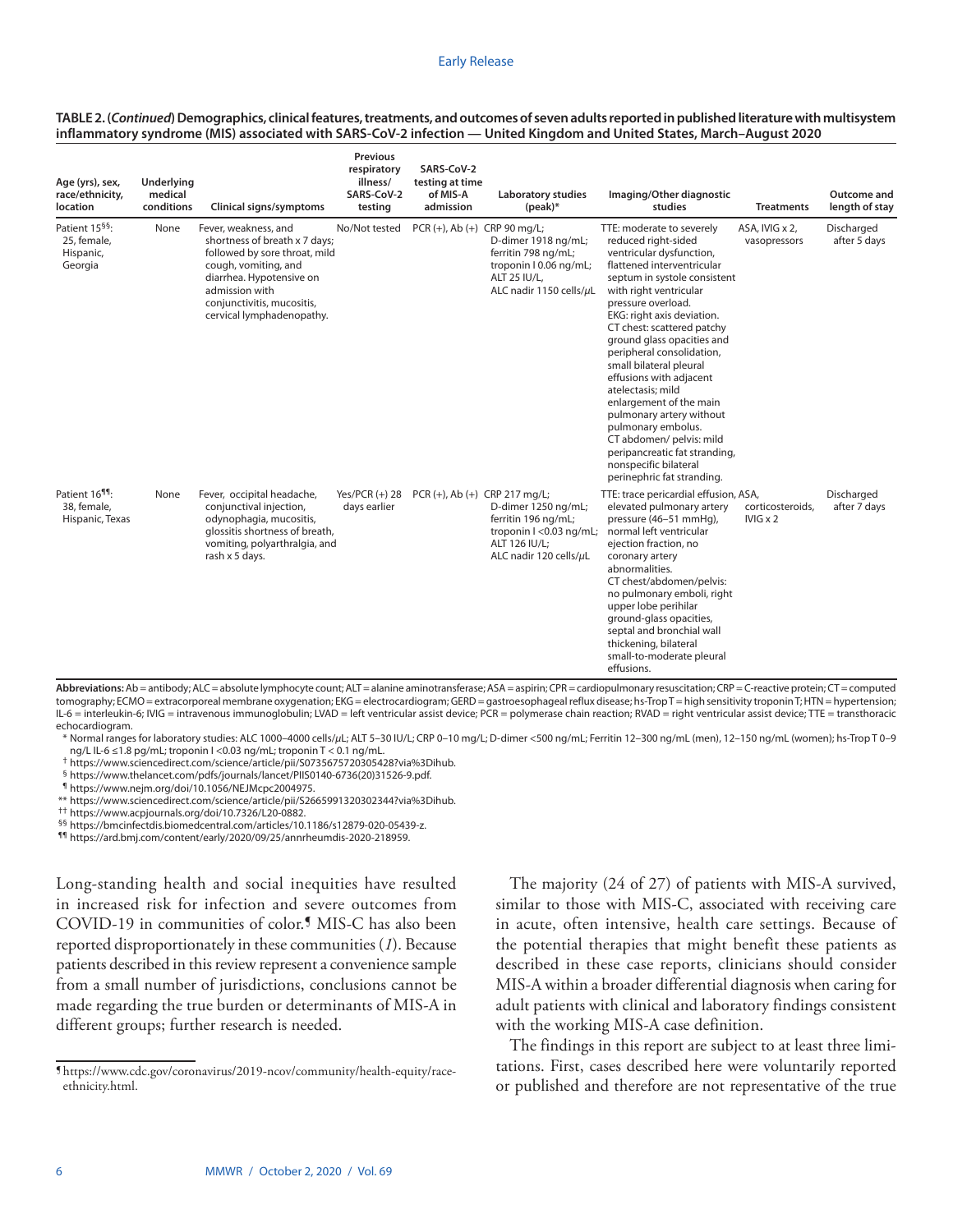#### Early Release

| Age (yrs), sex,<br>race/ethnicity,<br>location                    | Underlying<br>medical<br>conditions | Clinical signs/symptoms                                                                                                                                                                                                 | <b>Previous</b><br>respiratory<br>illness/<br>SARS-CoV-2<br>testing | SARS-CoV-2<br>testing at time<br>of MIS-A<br>admission | Laboratory studies<br>$(peak)*$                                                                                  | Imaging/Other diagnostic<br>studies                                                                                                                                                                                                                                                                                                                                                                                                                                                                                                                                                           | <b>Treatments</b>                   | Outcome and<br>length of stay |
|-------------------------------------------------------------------|-------------------------------------|-------------------------------------------------------------------------------------------------------------------------------------------------------------------------------------------------------------------------|---------------------------------------------------------------------|--------------------------------------------------------|------------------------------------------------------------------------------------------------------------------|-----------------------------------------------------------------------------------------------------------------------------------------------------------------------------------------------------------------------------------------------------------------------------------------------------------------------------------------------------------------------------------------------------------------------------------------------------------------------------------------------------------------------------------------------------------------------------------------------|-------------------------------------|-------------------------------|
| Patient 15 <sup>§§</sup> :<br>25, female,<br>Hispanic,<br>Georgia | None                                | Fever, weakness, and<br>shortness of breath x 7 days;<br>followed by sore throat, mild<br>cough, vomiting, and<br>diarrhea. Hypotensive on<br>admission with<br>conjunctivitis, mucositis,<br>cervical lymphadenopathy. | No/Not tested                                                       | PCR (+), Ab (+) CRP 90 mg/L;                           | D-dimer 1918 ng/mL;<br>ferritin 798 ng/mL;<br>troponin I 0.06 ng/mL;<br>ALT 25 IU/L.<br>ALC nadir 1150 cells/µL  | TTE: moderate to severely<br>reduced right-sided<br>ventricular dysfunction,<br>flattened interventricular<br>septum in systole consistent<br>with right ventricular<br>pressure overload.<br>EKG: right axis deviation.<br>CT chest: scattered patchy<br>ground glass opacities and<br>peripheral consolidation,<br>small bilateral pleural<br>effusions with adjacent<br>atelectasis: mild<br>enlargement of the main<br>pulmonary artery without<br>pulmonary embolus.<br>CT abdomen/ pelvis: mild<br>peripancreatic fat stranding,<br>nonspecific bilateral<br>perinephric fat stranding. | ASA, IVIG x 2,<br>vasopressors      | Discharged<br>after 5 days    |
| Patient 16 <sup>11</sup> :<br>38, female,<br>Hispanic, Texas      | None                                | Fever, occipital headache,<br>conjunctival injection,<br>odynophagia, mucositis,<br>glossitis shortness of breath,<br>vomiting, polyarthralgia, and<br>rash x 5 days.                                                   | Yes/PCR $(+)$ 28<br>days earlier                                    | PCR (+), Ab (+) CRP 217 mg/L;                          | D-dimer 1250 ng/mL;<br>ferritin 196 ng/mL;<br>troponin I <0.03 ng/mL;<br>ALT 126 IU/L;<br>ALC nadir 120 cells/µL | TTE: trace pericardial effusion, ASA,<br>elevated pulmonary artery<br>pressure (46-51 mmHg),<br>normal left ventricular<br>ejection fraction, no<br>coronary artery<br>abnormalities.<br>CT chest/abdomen/pelvis:<br>no pulmonary emboli, right<br>upper lobe perihilar<br>ground-glass opacities,<br>septal and bronchial wall<br>thickening, bilateral<br>small-to-moderate pleural<br>effusions.                                                                                                                                                                                           | corticosteroids.<br>$IVIG \times 2$ | Discharged<br>after 7 days    |

#### **TABLE 2. (***Continued***) Demographics, clinical features, treatments, and outcomes of seven adults reported in published literature with multisystem inflammatory syndrome (MIS) associated with SARS-CoV-2 infection — United Kingdom and United States, March–August 2020**

Abbreviations: Ab = antibody; ALC = absolute lymphocyte count; ALT = alanine aminotransferase; ASA = aspirin; CPR = cardiopulmonary resuscitation; CRP = C-reactive protein; CT = computed tomography; ECMO = extracorporeal membrane oxygenation; EKG = electrocardiogram; GERD = gastroesophageal reflux disease; hs-Trop T = high sensitivity troponin T; HTN = hypertension; IL-6 = interleukin-6; IVIG = intravenous immunoglobulin; LVAD = left ventricular assist device; PCR = polymerase chain reaction; RVAD = right ventricular assist device; TTE = transthoracic echocardiogram.

\* Normal ranges for laboratory studies: ALC 1000–4000 cells/*µ*L; ALT 5–30 IU/L; CRP 0–10 mg/L; D-dimer <500 ng/mL; Ferritin 12–300 ng/mL (men), 12–150 ng/mL (women); hs-Trop T 0–9 ng/L IL-6 ≤1.8 pg/mL; troponin I <0.03 ng/mL; troponin T < 0.1 ng/mL.

† <https://www.sciencedirect.com/science/article/pii/S0735675720305428?via%3Dihub>.

§ [https://www.thelancet.com/pdfs/journals/lancet/PIIS0140-6736\(20\)31526-9.pdf.](https://www.thelancet.com/pdfs/journals/lancet/PIIS0140-6736(20)31526-9.pdf)

¶ <https://www.nejm.org/doi/10.1056/NEJMcpc2004975>.

\*\* <https://www.sciencedirect.com/science/article/pii/S2665991320302344?via%3Dihub>.

†† <https://www.acpjournals.org/doi/10.7326/L20-0882>.

§§ [https://bmcinfectdis.biomedcentral.com/articles/10.1186/s12879-020-05439-z.](https://bmcinfectdis.biomedcentral.com/articles/10.1186/s12879-020-05439-z)

¶¶ <https://ard.bmj.com/content/early/2020/09/25/annrheumdis-2020-218959>.

Long-standing health and social inequities have resulted in increased risk for infection and severe outcomes from COVID-19 in communities of color.¶ MIS-C has also been reported disproportionately in these communities (*1*). Because patients described in this review represent a convenience sample from a small number of jurisdictions, conclusions cannot be made regarding the true burden or determinants of MIS-A in different groups; further research is needed.

The majority (24 of 27) of patients with MIS-A survived, similar to those with MIS-C, associated with receiving care in acute, often intensive, health care settings. Because of the potential therapies that might benefit these patients as described in these case reports, clinicians should consider MIS-A within a broader differential diagnosis when caring for adult patients with clinical and laboratory findings consistent with the working MIS-A case definition.

The findings in this report are subject to at least three limitations. First, cases described here were voluntarily reported or published and therefore are not representative of the true

<sup>¶</sup> [https://www.cdc.gov/coronavirus/2019-ncov/community/health-equity/race](https://www.cdc.gov/coronavirus/2019-ncov/community/health-equity/race-ethnicity.html)[ethnicity.html.](https://www.cdc.gov/coronavirus/2019-ncov/community/health-equity/race-ethnicity.html)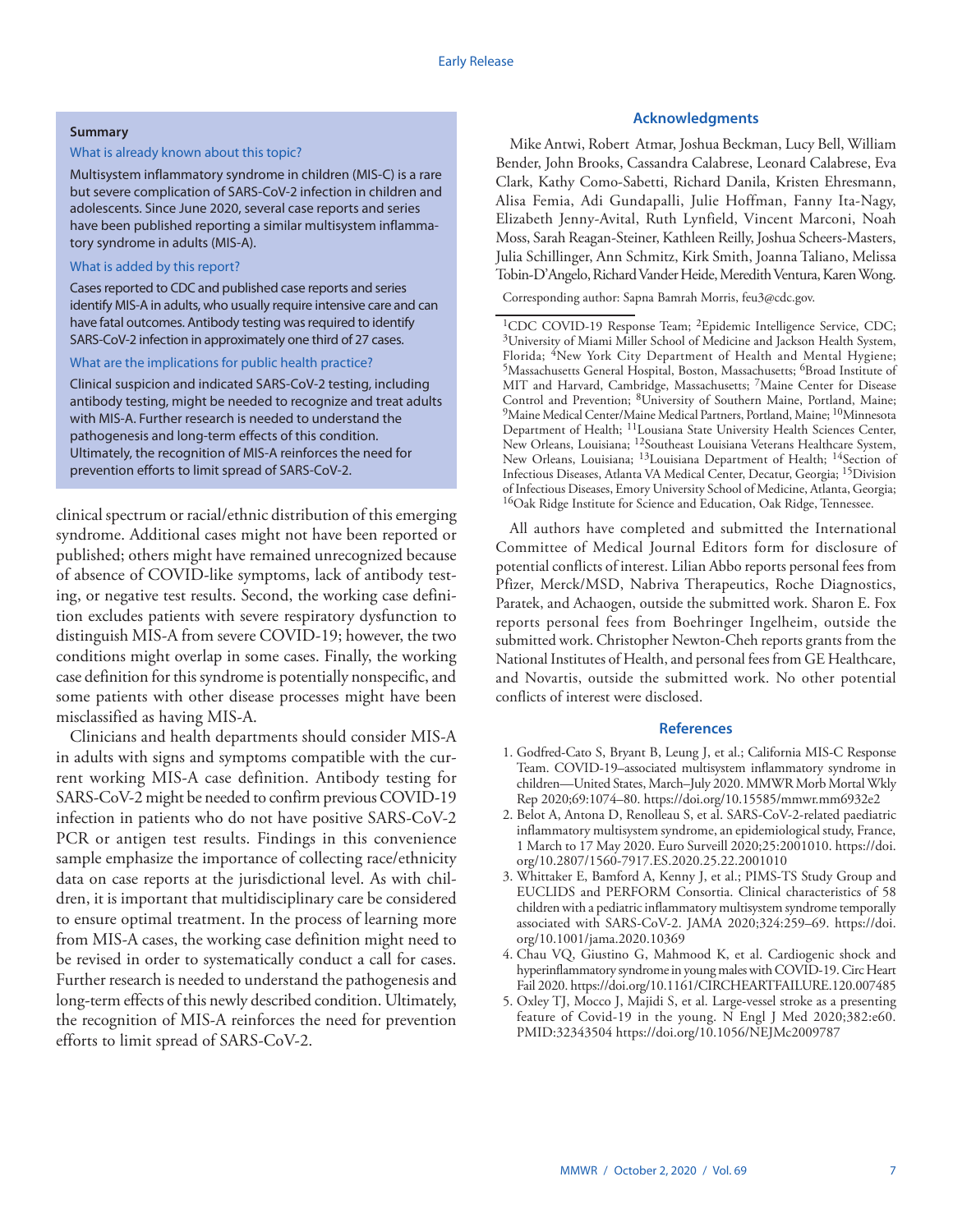#### **Summary**

### What is already known about this topic?

Multisystem inflammatory syndrome in children (MIS-C) is a rare but severe complication of SARS-CoV-2 infection in children and adolescents. Since June 2020, several case reports and series have been published reporting a similar multisystem inflammatory syndrome in adults (MIS-A).

## What is added by this report?

Cases reported to CDC and published case reports and series identify MIS-A in adults, who usually require intensive care and can have fatal outcomes. Antibody testing was required to identify SARS-CoV-2 infection in approximately one third of 27 cases.

#### What are the implications for public health practice?

Clinical suspicion and indicated SARS-CoV-2 testing, including antibody testing, might be needed to recognize and treat adults with MIS-A. Further research is needed to understand the pathogenesis and long-term effects of this condition. Ultimately, the recognition of MIS-A reinforces the need for prevention efforts to limit spread of SARS-CoV-2.

clinical spectrum or racial/ethnic distribution of this emerging syndrome. Additional cases might not have been reported or published; others might have remained unrecognized because of absence of COVID-like symptoms, lack of antibody testing, or negative test results. Second, the working case definition excludes patients with severe respiratory dysfunction to distinguish MIS-A from severe COVID-19; however, the two conditions might overlap in some cases. Finally, the working case definition for this syndrome is potentially nonspecific, and some patients with other disease processes might have been misclassified as having MIS-A.

Clinicians and health departments should consider MIS-A in adults with signs and symptoms compatible with the current working MIS-A case definition. Antibody testing for SARS-CoV-2 might be needed to confirm previous COVID-19 infection in patients who do not have positive SARS-CoV-2 PCR or antigen test results. Findings in this convenience sample emphasize the importance of collecting race/ethnicity data on case reports at the jurisdictional level. As with children, it is important that multidisciplinary care be considered to ensure optimal treatment. In the process of learning more from MIS-A cases, the working case definition might need to be revised in order to systematically conduct a call for cases. Further research is needed to understand the pathogenesis and long-term effects of this newly described condition. Ultimately, the recognition of MIS-A reinforces the need for prevention efforts to limit spread of SARS-CoV-2.

## **Acknowledgments**

Mike Antwi, Robert Atmar, Joshua Beckman, Lucy Bell, William Bender, John Brooks, Cassandra Calabrese, Leonard Calabrese, Eva Clark, Kathy Como-Sabetti, Richard Danila, Kristen Ehresmann, Alisa Femia, Adi Gundapalli, Julie Hoffman, Fanny Ita-Nagy, Elizabeth Jenny-Avital, Ruth Lynfield, Vincent Marconi, Noah Moss, Sarah Reagan-Steiner, Kathleen Reilly, Joshua Scheers-Masters, Julia Schillinger, Ann Schmitz, Kirk Smith, Joanna Taliano, Melissa Tobin-D'Angelo, Richard Vander Heide, Meredith Ventura, Karen Wong.

Corresponding author: Sapna Bamrah Morris, [feu3@cdc.gov.](mailto:feu3@cdc.gov)

<sup>1</sup>CDC COVID-19 Response Team; <sup>2</sup>Epidemic Intelligence Service, CDC; 3University of Miami Miller School of Medicine and Jackson Health System, Florida; <sup>4</sup>New York City Department of Health and Mental Hygiene; 5Massachusetts General Hospital, Boston, Massachusetts; 6Broad Institute of MIT and Harvard, Cambridge, Massachusetts; <sup>7</sup>Maine Center for Disease Control and Prevention; 8University of Southern Maine, Portland, Maine; <sup>9</sup>Maine Medical Center/Maine Medical Partners, Portland, Maine; <sup>10</sup>Minnesota Department of Health; 11Lousiana State University Health Sciences Center, New Orleans, Louisiana; 12Southeast Louisiana Veterans Healthcare System, New Orleans, Louisiana; <sup>13</sup>Louisiana Department of Health; <sup>14</sup>Section of Infectious Diseases, Atlanta VA Medical Center, Decatur, Georgia; 15Division of Infectious Diseases, Emory University School of Medicine, Atlanta, Georgia; <sup>16</sup>Oak Ridge Institute for Science and Education, Oak Ridge, Tennessee.

All authors have completed and submitted the International Committee of Medical Journal Editors form for disclosure of potential conflicts of interest. Lilian Abbo reports personal fees from Pfizer, Merck/MSD, Nabriva Therapeutics, Roche Diagnostics, Paratek, and Achaogen, outside the submitted work. Sharon E. Fox reports personal fees from Boehringer Ingelheim, outside the submitted work. Christopher Newton-Cheh reports grants from the National Institutes of Health, and personal fees from GE Healthcare, and Novartis, outside the submitted work. No other potential conflicts of interest were disclosed.

#### **References**

- 1. Godfred-Cato S, Bryant B, Leung J, et al.; California MIS-C Response Team. COVID-19–associated multisystem inflammatory syndrome in children—United State[s,](https://www.ncbi.nlm.nih.gov/entrez/query.fcgi?cmd=Retrieve&db=PubMed&list_uids=32790663&dopt=Abstract) March–July 2020. MMWR Morb Mortal Wkly Rep 2020;69:1074–80. <https://doi.org/10.15585/mmwr.mm6932e2>
- 2. Belot A, Antona D, Renolleau S, et al. SARS-CoV-2-related paediatric inflammatory multisystem syndrome, an epidemiological study, France, 1 March to 17 May 2020. Euro Surveill 2020;25:2001010. [https://doi.](https://doi.org/10.2807/1560-7917.ES.2020.25.22.2001010) [org/10.2807/1560-7917.ES.2020.25.22.2001010](https://doi.org/10.2807/1560-7917.ES.2020.25.22.2001010)
- 3. Whittaker E, Bamford A, Kenny J, et al.; PIMS-TS Study Group and EUCLIDS and PERFORM Consortia. Clinical characteristics of 58 children with a pediatric inflammatory multisystem syndrome temporally associated with SARS-CoV-2. JAMA 2020;324:259–69. [https://doi.](https://doi.org/10.1001/jama.2020.10369) [org/10.1001/jama.2020.10369](https://doi.org/10.1001/jama.2020.10369)
- 4. Chau VQ, Giustino G, Mahmood K, et al. Cardiogenic shock and hyperinflammatory syndrome in young males with COVID-19. Circ Heart Fail 2020.<https://doi.org/10.1161/CIRCHEARTFAILURE.120.007485>
- 5. Oxley TJ, Mocco J, Majidi S, et al. Large-vessel stroke as a presenting feature of Covid-19 in the young. N Engl J Med 2020;382:e60. [PMID:32343504](https://www.ncbi.nlm.nih.gov/entrez/query.fcgi?cmd=Retrieve&db=PubMed&list_uids=32343504&dopt=Abstract) <https://doi.org/10.1056/NEJMc2009787>